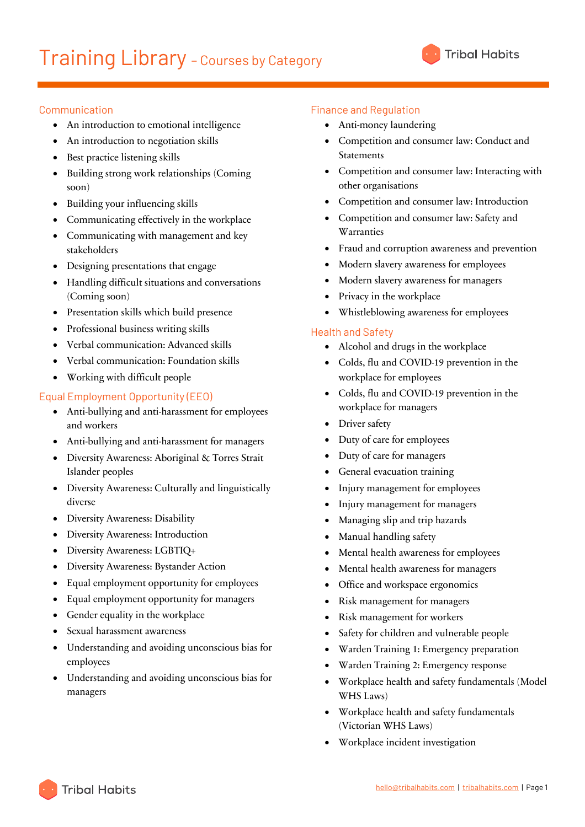# Communication

- An introduction to emotional intelligence
- An introduction to negotiation skills
- Best practice listening skills
- Building strong work relationships (Coming soon)
- Building your influencing skills
- Communicating effectively in the workplace
- Communicating with management and key stakeholders
- Designing presentations that engage
- Handling difficult situations and conversations (Coming soon)
- Presentation skills which build presence
- Professional business writing skills
- Verbal communication: Advanced skills
- Verbal communication: Foundation skills
- Working with difficult people

## Equal Employment Opportunity (EEO)

- Anti-bullying and anti-harassment for employees and workers
- Anti-bullying and anti-harassment for managers
- Diversity Awareness: Aboriginal & Torres Strait Islander peoples
- Diversity Awareness: Culturally and linguistically diverse
- Diversity Awareness: Disability
- Diversity Awareness: Introduction
- Diversity Awareness: LGBTIQ+
- Diversity Awareness: Bystander Action
- Equal employment opportunity for employees
- Equal employment opportunity for managers
- Gender equality in the workplace
- Sexual harassment awareness
- Understanding and avoiding unconscious bias for employees
- Understanding and avoiding unconscious bias for managers

## Finance and Regulation

- Anti-money laundering
- Competition and consumer law: Conduct and **Statements**
- Competition and consumer law: Interacting with other organisations
- Competition and consumer law: Introduction
- Competition and consumer law: Safety and Warranties
- Fraud and corruption awareness and prevention
- Modern slavery awareness for employees
- Modern slavery awareness for managers
- Privacy in the workplace
- Whistleblowing awareness for employees

## Health and Safety

- Alcohol and drugs in the workplace
- Colds, flu and COVID-19 prevention in the workplace for employees
- Colds, flu and COVID-19 prevention in the workplace for managers
- Driver safety
- Duty of care for employees
- Duty of care for managers
- General evacuation training
- Injury management for employees
- Injury management for managers
- Managing slip and trip hazards
- Manual handling safety
- Mental health awareness for employees
- Mental health awareness for managers
- Office and workspace ergonomics
- Risk management for managers
- Risk management for workers
- Safety for children and vulnerable people
- Warden Training 1: Emergency preparation
- Warden Training 2: Emergency response
- Workplace health and safety fundamentals (Model WHS Laws)
- Workplace health and safety fundamentals (Victorian WHS Laws)
- Workplace incident investigation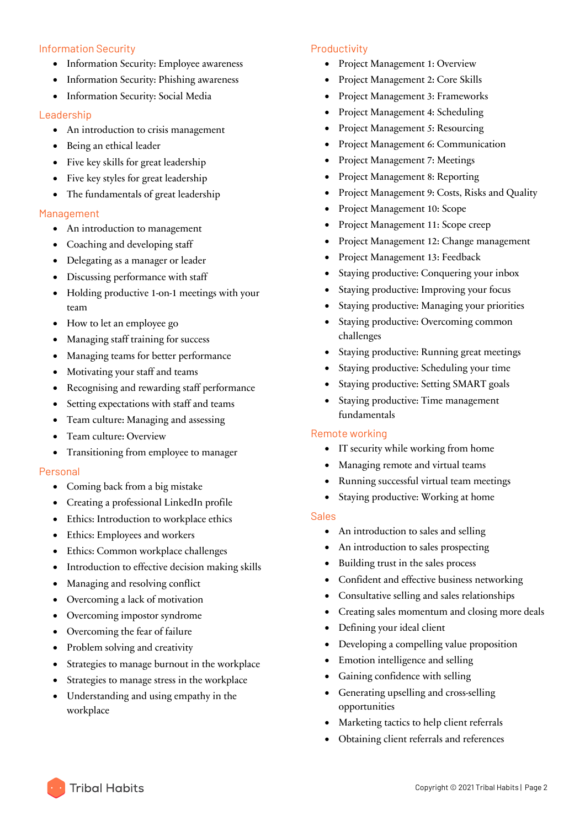### Information Security

- Information Security: Employee awareness
- Information Security: Phishing awareness
- Information Security: Social Media

### Leadership

- An introduction to crisis management
- Being an ethical leader
- Five key skills for great leadership
- Five key styles for great leadership
- The fundamentals of great leadership

### Management

- An introduction to management
- Coaching and developing staff
- Delegating as a manager or leader
- Discussing performance with staff
- Holding productive 1-on-1 meetings with your team
- How to let an employee go
- Managing staff training for success
- Managing teams for better performance
- Motivating your staff and teams
- Recognising and rewarding staff performance
- Setting expectations with staff and teams
- Team culture: Managing and assessing
- Team culture: Overview
- Transitioning from employee to manager

### Personal

- Coming back from a big mistake
- Creating a professional LinkedIn profile
- Ethics: Introduction to workplace ethics
- Ethics: Employees and workers
- Ethics: Common workplace challenges
- Introduction to effective decision making skills
- Managing and resolving conflict
- Overcoming a lack of motivation
- Overcoming impostor syndrome
- Overcoming the fear of failure
- Problem solving and creativity
- Strategies to manage burnout in the workplace
- Strategies to manage stress in the workplace
- Understanding and using empathy in the workplace

### Productivity

- Project Management 1: Overview
- Project Management 2: Core Skills
- Project Management 3: Frameworks
- Project Management 4: Scheduling
- Project Management 5: Resourcing
- Project Management 6: Communication
- Project Management 7: Meetings
- Project Management 8: Reporting
- Project Management 9: Costs, Risks and Quality
- Project Management 10: Scope
- Project Management 11: Scope creep
- Project Management 12: Change management
- Project Management 13: Feedback
- Staying productive: Conquering your inbox
- Staying productive: Improving your focus
- Staying productive: Managing your priorities
- Staying productive: Overcoming common challenges
- Staying productive: Running great meetings
- Staying productive: Scheduling your time
- Staying productive: Setting SMART goals
- Staying productive: Time management fundamentals

### Remote working

- IT security while working from home
- Managing remote and virtual teams
- Running successful virtual team meetings
- Staying productive: Working at home

### Sales

- An introduction to sales and selling
- An introduction to sales prospecting
- Building trust in the sales process
- Confident and effective business networking
- Consultative selling and sales relationships
- Creating sales momentum and closing more deals
- Defining your ideal client
- Developing a compelling value proposition
- Emotion intelligence and selling
- Gaining confidence with selling
- Generating upselling and cross-selling opportunities
- Marketing tactics to help client referrals
- Obtaining client referrals and references